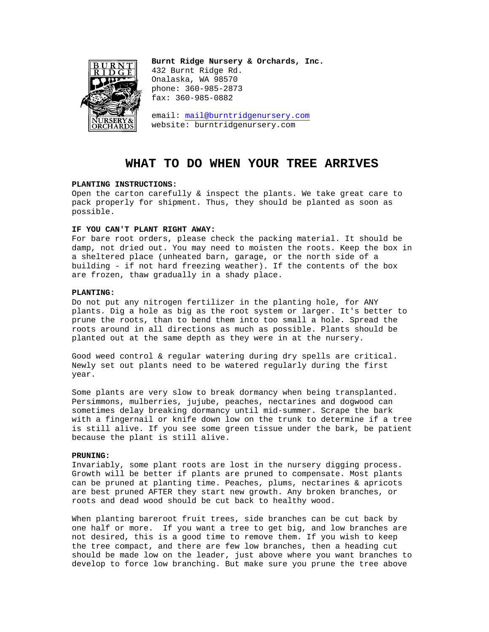

**Burnt Ridge Nursery & Orchards, Inc.**  432 Burnt Ridge Rd. Onalaska, WA 98570 phone: 360-985-2873 fax: 360-985-0882

email: mail@burntridgenursery.com website: burntridgenursery.com

# **WHAT TO DO WHEN YOUR TREE ARRIVES**

## **PLANTING INSTRUCTIONS:**

Open the carton carefully & inspect the plants. We take great care to pack properly for shipment. Thus, they should be planted as soon as possible.

## **IF YOU CAN'T PLANT RIGHT AWAY:**

For bare root orders, please check the packing material. It should be damp, not dried out. You may need to moisten the roots. Keep the box in a sheltered place (unheated barn, garage, or the north side of a building - if not hard freezing weather). If the contents of the box are frozen, thaw gradually in a shady place.

## **PLANTING:**

Do not put any nitrogen fertilizer in the planting hole, for ANY plants. Dig a hole as big as the root system or larger. It's better to prune the roots, than to bend them into too small a hole. Spread the roots around in all directions as much as possible. Plants should be planted out at the same depth as they were in at the nursery.

Good weed control & regular watering during dry spells are critical. Newly set out plants need to be watered regularly during the first year.

Some plants are very slow to break dormancy when being transplanted. Persimmons, mulberries, jujube, peaches, nectarines and dogwood can sometimes delay breaking dormancy until mid-summer. Scrape the bark with a fingernail or knife down low on the trunk to determine if a tree is still alive. If you see some green tissue under the bark, be patient because the plant is still alive.

## **PRUNING:**

Invariably, some plant roots are lost in the nursery digging process. Growth will be better if plants are pruned to compensate. Most plants can be pruned at planting time. Peaches, plums, nectarines & apricots are best pruned AFTER they start new growth. Any broken branches, or roots and dead wood should be cut back to healthy wood.

When planting bareroot fruit trees, side branches can be cut back by one half or more. If you want a tree to get big, and low branches are not desired, this is a good time to remove them. If you wish to keep the tree compact, and there are few low branches, then a heading cut should be made low on the leader, just above where you want branches to develop to force low branching. But make sure you prune the tree above